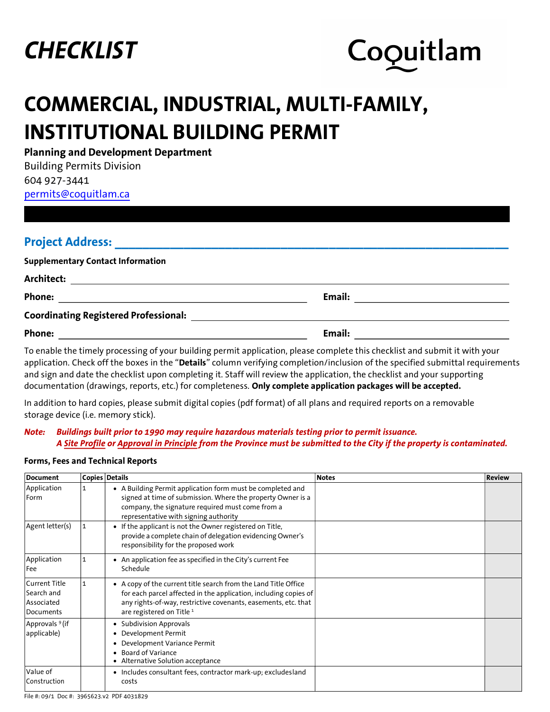

# Coquitlam

### COMMERCIAL, INDUSTRIAL, MULTI-FAMILY, INSTITUTIONAL BUILDING PERMIT

Planning and Development Department

Building Permits Division 604 927-3441 permits@coquitlam.ca

### Project Address: <u>Discretise and the set of the set of the set of the set of the set of the set of the set of the set of the set of the set of the set of the set of the set of the set of the set of the set of the set of th</u>

Architect:

| הונווונכננ.                                  |        |
|----------------------------------------------|--------|
| Phone:                                       | Email: |
| <b>Coordinating Registered Professional:</b> |        |
| Phone:                                       | Email: |

To enable the timely processing of your building permit application, please complete this checklist and submit it with your application. Check off the boxes in the "Details" column verifying completion/inclusion of the specified submittal requirements and sign and date the checklist upon completing it. Staff will review the application, the checklist and your supporting documentation (drawings, reports, etc.) for completeness. Only complete application packages will be accepted.

In addition to hard copies, please submit digital copies (pdf format) of all plans and required reports on a removable storage device (i.e. memory stick).

### Note: Buildings built prior to 1990 may require hazardous materials testing prior to permit issuance. A Site Profile or Approval in Principle from the Province must be submitted to the City if the property is contaminated.

#### Forms, Fees and Technical Reports

| Document                                               | Copies Details                                                                                                                                                                                                                                | <b>Notes</b> | <b>Review</b> |
|--------------------------------------------------------|-----------------------------------------------------------------------------------------------------------------------------------------------------------------------------------------------------------------------------------------------|--------------|---------------|
| Application<br>Form                                    | • A Building Permit application form must be completed and<br>signed at time of submission. Where the property Owner is a<br>company, the signature required must come from a<br>representative with signing authority                        |              |               |
| Agent letter(s)                                        | If the applicant is not the Owner registered on Title,<br>provide a complete chain of delegation evidencing Owner's<br>responsibility for the proposed work                                                                                   |              |               |
| Application<br>Fee                                     | • An application fee as specified in the City's current Fee<br>Schedule                                                                                                                                                                       |              |               |
| Current Title<br>Search and<br>Associated<br>Documents | • A copy of the current title search from the Land Title Office<br>for each parcel affected in the application, including copies of<br>any rights-of-way, restrictive covenants, easements, etc. that<br>are registered on Title <sup>1</sup> |              |               |
| Approvals <sup>9</sup> (if<br>applicable)              | • Subdivision Approvals<br>Development Permit<br>Development Variance Permit<br><b>Board of Variance</b><br>• Alternative Solution acceptance                                                                                                 |              |               |
| Value of<br>Construction                               | • Includes consultant fees, contractor mark-up; excludes land<br>costs                                                                                                                                                                        |              |               |

File #: 09/1 Doc #: 3965623.v2 PDF 4031829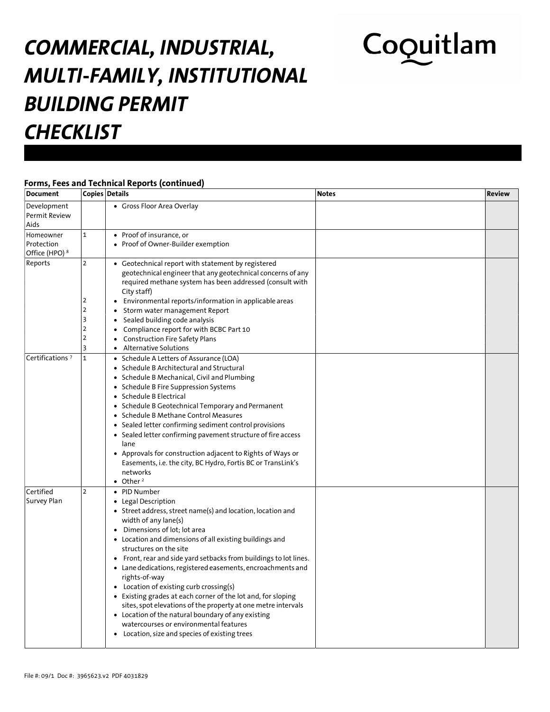### Forms, Fees and Technical Reports (continued)

| <b>Document</b>                                      |                                         | Copies Details                                                                                                                                                                                                                                                                                                                                                                                                                                                                                                                                                                                                                                                                                                                | <b>Notes</b> | <b>Review</b> |
|------------------------------------------------------|-----------------------------------------|-------------------------------------------------------------------------------------------------------------------------------------------------------------------------------------------------------------------------------------------------------------------------------------------------------------------------------------------------------------------------------------------------------------------------------------------------------------------------------------------------------------------------------------------------------------------------------------------------------------------------------------------------------------------------------------------------------------------------------|--------------|---------------|
| Development<br>Permit Review<br>Aids                 |                                         | • Gross Floor Area Overlay                                                                                                                                                                                                                                                                                                                                                                                                                                                                                                                                                                                                                                                                                                    |              |               |
| Homeowner<br>Protection<br>Office (HPO) <sup>8</sup> | $\mathbf{1}$                            | • Proof of insurance, or<br>• Proof of Owner-Builder exemption                                                                                                                                                                                                                                                                                                                                                                                                                                                                                                                                                                                                                                                                |              |               |
| Reports                                              | $\overline{2}$                          | • Geotechnical report with statement by registered<br>geotechnical engineer that any geotechnical concerns of any<br>required methane system has been addressed (consult with<br>City staff)                                                                                                                                                                                                                                                                                                                                                                                                                                                                                                                                  |              |               |
|                                                      | 2<br>2<br>3<br>2<br>$\overline{2}$<br>3 | Environmental reports/information in applicable areas<br>Storm water management Report<br>Sealed building code analysis<br>Compliance report for with BCBC Part 10<br><b>Construction Fire Safety Plans</b><br><b>Alternative Solutions</b><br>$\bullet$                                                                                                                                                                                                                                                                                                                                                                                                                                                                      |              |               |
| Certifications <sup>7</sup>                          | $\mathbf{1}$                            | • Schedule A Letters of Assurance (LOA)<br>• Schedule B Architectural and Structural<br>• Schedule B Mechanical, Civil and Plumbing<br>• Schedule B Fire Suppression Systems<br>• Schedule B Electrical<br>• Schedule B Geotechnical Temporary and Permanent<br>• Schedule B Methane Control Measures<br>• Sealed letter confirming sediment control provisions<br>• Sealed letter confirming pavement structure of fire access<br>lane<br>• Approvals for construction adjacent to Rights of Ways or<br>Easements, i.e. the city, BC Hydro, Fortis BC or TransLink's<br>networks<br>$\bullet$ Other <sup>2</sup>                                                                                                             |              |               |
| Certified<br>Survey Plan                             | $\overline{2}$                          | • PID Number<br>• Legal Description<br>• Street address, street name(s) and location, location and<br>width of any lane(s)<br>Dimensions of lot; lot area<br>• Location and dimensions of all existing buildings and<br>structures on the site<br>Front, rear and side yard setbacks from buildings to lot lines.<br>• Lane dedications, registered easements, encroachments and<br>rights-of-way<br>• Location of existing curb crossing(s)<br>Existing grades at each corner of the lot and, for sloping<br>sites, spot elevations of the property at one metre intervals<br>• Location of the natural boundary of any existing<br>watercourses or environmental features<br>• Location, size and species of existing trees |              |               |

Coquitlam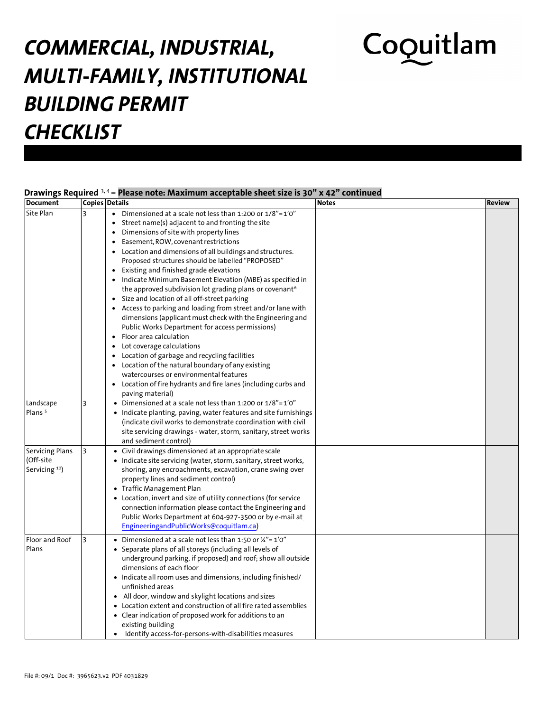# Coquitlam

#### Drawings Required  $3, 4$  – Please note: Maximum acceptable sheet size is 30" x 42" continued

| <b>Document</b>                                                  |                | Copies   Details                                                                                                                                                                                                                                                                                                                                                                                                                                                                                                                                                                                                                                                                                                                                                                                                                                                                                                                                                                                                                                                                                                                                                   | <b>Notes</b> | Review |
|------------------------------------------------------------------|----------------|--------------------------------------------------------------------------------------------------------------------------------------------------------------------------------------------------------------------------------------------------------------------------------------------------------------------------------------------------------------------------------------------------------------------------------------------------------------------------------------------------------------------------------------------------------------------------------------------------------------------------------------------------------------------------------------------------------------------------------------------------------------------------------------------------------------------------------------------------------------------------------------------------------------------------------------------------------------------------------------------------------------------------------------------------------------------------------------------------------------------------------------------------------------------|--------------|--------|
| Site Plan                                                        | 3              | Dimensioned at a scale not less than 1:200 or 1/8"=1'0"<br>Street name(s) adjacent to and fronting the site<br>$\bullet$<br>Dimensions of site with property lines<br>$\bullet$<br>Easement, ROW, covenant restrictions<br>$\bullet$<br>Location and dimensions of all buildings and structures.<br>$\bullet$<br>Proposed structures should be labelled "PROPOSED"<br>Existing and finished grade elevations<br>$\bullet$<br>Indicate Minimum Basement Elevation (MBE) as specified in<br>$\bullet$<br>the approved subdivision lot grading plans or covenant <sup>6</sup><br>Size and location of all off-street parking<br>$\bullet$<br>Access to parking and loading from street and/or lane with<br>dimensions (applicant must check with the Engineering and<br>Public Works Department for access permissions)<br>Floor area calculation<br>$\bullet$<br>Lot coverage calculations<br>$\bullet$<br>Location of garbage and recycling facilities<br>Location of the natural boundary of any existing<br>$\bullet$<br>watercourses or environmental features<br>Location of fire hydrants and fire lanes (including curbs and<br>$\bullet$<br>paving material) |              |        |
| Landscape<br>Plans <sup>5</sup>                                  | 3              | Dimensioned at a scale not less than 1:200 or 1/8"=1'0"<br>• Indicate planting, paving, water features and site furnishings<br>(indicate civil works to demonstrate coordination with civil<br>site servicing drawings - water, storm, sanitary, street works<br>and sediment control)                                                                                                                                                                                                                                                                                                                                                                                                                                                                                                                                                                                                                                                                                                                                                                                                                                                                             |              |        |
| <b>Servicing Plans</b><br>(Off-site<br>Servicing <sup>10</sup> ) | l 3            | Civil drawings dimensioned at an appropriate scale<br>• Indicate site servicing (water, storm, sanitary, street works,<br>shoring, any encroachments, excavation, crane swing over<br>property lines and sediment control)<br>• Traffic Management Plan<br>Location, invert and size of utility connections (for service<br>connection information please contact the Engineering and<br>Public Works Department at 604-927-3500 or by e-mail at<br>EngineeringandPublicWorks@coquitlam.ca)                                                                                                                                                                                                                                                                                                                                                                                                                                                                                                                                                                                                                                                                        |              |        |
| Floor and Roof<br>Plans                                          | $\overline{3}$ | Dimensioned at a scale not less than 1:50 or $\frac{1}{2}$ = 1'0"<br>• Separate plans of all storeys (including all levels of<br>underground parking, if proposed) and roof; show all outside<br>dimensions of each floor<br>• Indicate all room uses and dimensions, including finished/<br>unfinished areas<br>• All door, window and skylight locations and sizes<br>Location extent and construction of all fire rated assemblies<br>Clear indication of proposed work for additions to an<br>existing building<br>Identify access-for-persons-with-disabilities measures                                                                                                                                                                                                                                                                                                                                                                                                                                                                                                                                                                                      |              |        |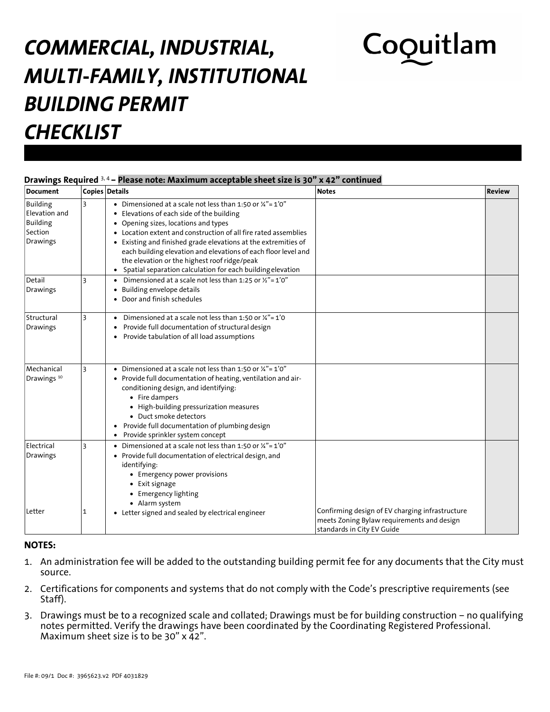# Coquitlam

#### Drawings Required  $3, 4$  – Please note: Maximum acceptable sheet size is 30" x 42" continued

| Document                                                                   |                | Copies Details                                                                                                                                                                                                                                                                                                                                                                                                                                                               | <b>Notes</b>                                                                                                                | <b>Review</b> |
|----------------------------------------------------------------------------|----------------|------------------------------------------------------------------------------------------------------------------------------------------------------------------------------------------------------------------------------------------------------------------------------------------------------------------------------------------------------------------------------------------------------------------------------------------------------------------------------|-----------------------------------------------------------------------------------------------------------------------------|---------------|
| Building<br>Elevation and<br><b>Building</b><br>Section<br><b>Drawings</b> | 3              | • Dimensioned at a scale not less than 1:50 or $\frac{1}{4}$ "= 1'0"<br>• Elevations of each side of the building<br>• Opening sizes, locations and types<br>Location extent and construction of all fire rated assemblies<br>• Existing and finished grade elevations at the extremities of<br>each building elevation and elevations of each floor level and<br>the elevation or the highest roof ridge/peak<br>Spatial separation calculation for each building elevation |                                                                                                                             |               |
| Detail<br><b>Drawings</b>                                                  | 3              | Dimensioned at a scale not less than 1:25 or $\frac{x^8}{2}$ = 1'0"<br>Building envelope details<br>Door and finish schedules                                                                                                                                                                                                                                                                                                                                                |                                                                                                                             |               |
| Structural<br><b>Drawings</b>                                              | $\overline{3}$ | Dimensioned at a scale not less than 1:50 or $\frac{1}{4}$ = 1'0<br>Provide full documentation of structural design<br>Provide tabulation of all load assumptions                                                                                                                                                                                                                                                                                                            |                                                                                                                             |               |
| Mechanical<br>Drawings <sup>10</sup>                                       | $\overline{3}$ | • Dimensioned at a scale not less than 1:50 or $\frac{1}{4}$ "= 1'0"<br>• Provide full documentation of heating, ventilation and air-<br>conditioning design, and identifying:<br>• Fire dampers<br>• High-building pressurization measures<br>• Duct smoke detectors<br>Provide full documentation of plumbing design<br>Provide sprinkler system concept                                                                                                                   |                                                                                                                             |               |
| Electrical<br><b>Drawings</b>                                              | 3              | • Dimensioned at a scale not less than 1:50 or $\frac{1}{4}$ "= 1'0"<br>• Provide full documentation of electrical design, and<br>identifying:<br>• Emergency power provisions<br>• Exit signage<br>• Emergency lighting<br>• Alarm system                                                                                                                                                                                                                                   |                                                                                                                             |               |
| Letter                                                                     | 1              | • Letter signed and sealed by electrical engineer                                                                                                                                                                                                                                                                                                                                                                                                                            | Confirming design of EV charging infrastructure<br>meets Zoning Bylaw requirements and design<br>standards in City EV Guide |               |

#### NOTES:

- 1. An administration fee will be added to the outstanding building permit fee for any documents that the City must source.
- 2. Certifications for components and systems that do not comply with the Code's prescriptive requirements (see Staff).
- 3. Drawings must be to a recognized scale and collated; Drawings must be for building construction no qualifying notes permitted. Verify the drawings have been coordinated by the Coordinating Registered Professional. Maximum sheet size is to be 30" x 42".